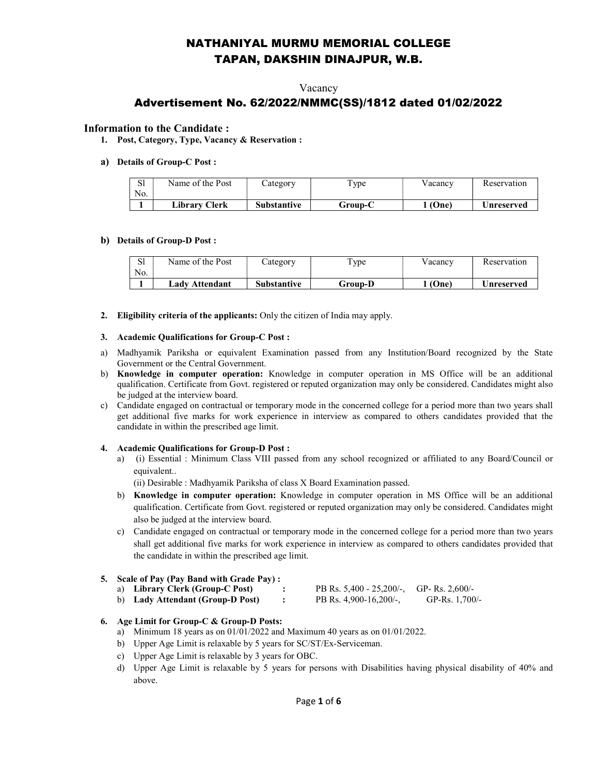## NATHANIYAL MURMU MEMORIAL COLLEGE TAPAN, DAKSHIN DINAJPUR, W.B.

### Vacancy

## Advertisement No. 62/2022/NMMC(SS)/1812 dated 01/02/2022

### Information to the Candidate :

1. Post, Category, Type, Vacancy & Reservation :

### a) Details of Group-C Post :

| C <sub>1</sub><br>ы<br>No. | Name of the Post | Category           | $T$ ype | Vacancv | Reservation |
|----------------------------|------------------|--------------------|---------|---------|-------------|
|                            | Librarv Clerk    | <b>Substantive</b> | Group-C | (One)   | Unreserved  |

#### b) Details of Group-D Post :

| C1<br>ΩI<br>No. | Name of the Post | Category    | $T$ ype | V acanc v | Reservation |
|-----------------|------------------|-------------|---------|-----------|-------------|
|                 | Ladv Attendant   | Substantive | Group-D | (One)     | ∪nreserved  |

2. Eligibility criteria of the applicants: Only the citizen of India may apply.

#### 3. Academic Qualifications for Group-C Post :

- a) Madhyamik Pariksha or equivalent Examination passed from any Institution/Board recognized by the State Government or the Central Government.
- b) Knowledge in computer operation: Knowledge in computer operation in MS Office will be an additional qualification. Certificate from Govt. registered or reputed organization may only be considered. Candidates might also be judged at the interview board.
- c) Candidate engaged on contractual or temporary mode in the concerned college for a period more than two years shall get additional five marks for work experience in interview as compared to others candidates provided that the candidate in within the prescribed age limit.

#### 4. Academic Qualifications for Group-D Post :

a) (i) Essential : Minimum Class VIII passed from any school recognized or affiliated to any Board/Council or equivalent..

(ii) Desirable : Madhyamik Pariksha of class X Board Examination passed.

- b) Knowledge in computer operation: Knowledge in computer operation in MS Office will be an additional qualification. Certificate from Govt. registered or reputed organization may only be considered. Candidates might also be judged at the interview board.
- c) Candidate engaged on contractual or temporary mode in the concerned college for a period more than two years shall get additional five marks for work experience in interview as compared to others candidates provided that the candidate in within the prescribed age limit.

#### 5. Scale of Pay (Pay Band with Grade Pay) :

| a) Library Clerk (Group-C Post)  | PB Rs. $5,400 - 25,200/$ , GP-Rs. $2,600/$ - |                  |
|----------------------------------|----------------------------------------------|------------------|
| b) Lady Attendant (Group-D Post) | PB Rs. 4,900-16,200/-,                       | GP-Rs. $1,700/-$ |

#### 6. Age Limit for Group-C & Group-D Posts:

- a) Minimum 18 years as on 01/01/2022 and Maximum 40 years as on 01/01/2022.
- b) Upper Age Limit is relaxable by 5 years for SC/ST/Ex-Serviceman.
- c) Upper Age Limit is relaxable by 3 years for OBC.
- d) Upper Age Limit is relaxable by 5 years for persons with Disabilities having physical disability of 40% and above.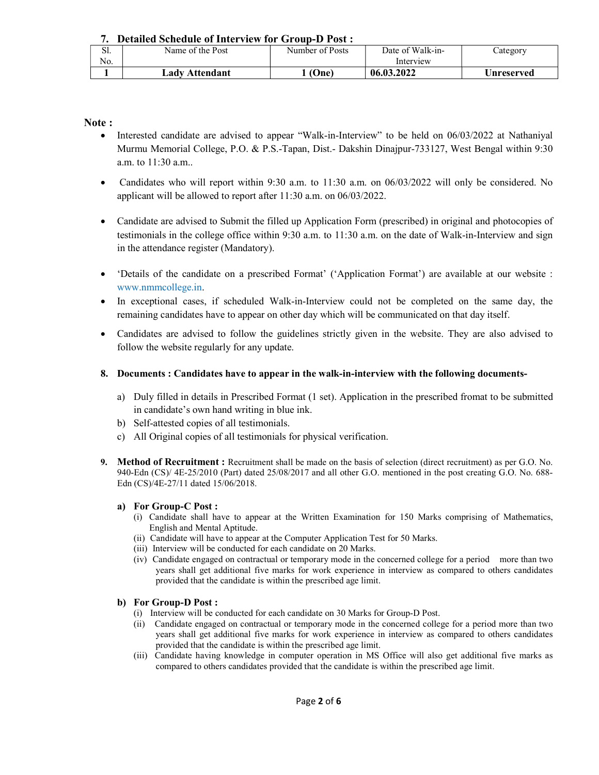7. Detailed Schedule of Interview for Group-D Post :

| $\sim$ 1<br>، ال | Name of the Post | Number of Posts | Date of Walk-in- | $\angle$ ategory |
|------------------|------------------|-----------------|------------------|------------------|
| No.              |                  |                 | Interview        |                  |
|                  | Ladv Attendant   | (One)           | 06.03.2022       | Unreserved       |

Note :

- Interested candidate are advised to appear "Walk-in-Interview" to be held on 06/03/2022 at Nathaniyal Murmu Memorial College, P.O. & P.S.-Tapan, Dist.- Dakshin Dinajpur-733127, West Bengal within 9:30 a.m. to 11:30 a.m..
- Candidates who will report within 9:30 a.m. to 11:30 a.m. on 06/03/2022 will only be considered. No applicant will be allowed to report after 11:30 a.m. on 06/03/2022.
- Candidate are advised to Submit the filled up Application Form (prescribed) in original and photocopies of testimonials in the college office within 9:30 a.m. to 11:30 a.m. on the date of Walk-in-Interview and sign in the attendance register (Mandatory).
- 'Details of the candidate on a prescribed Format' ('Application Format') are available at our website : www.nmmcollege.in.
- In exceptional cases, if scheduled Walk-in-Interview could not be completed on the same day, the remaining candidates have to appear on other day which will be communicated on that day itself.
- Candidates are advised to follow the guidelines strictly given in the website. They are also advised to follow the website regularly for any update.
- 8. Documents : Candidates have to appear in the walk-in-interview with the following documents
	- a) Duly filled in details in Prescribed Format (1 set). Application in the prescribed fromat to be submitted in candidate's own hand writing in blue ink.
	- b) Self-attested copies of all testimonials.
	- c) All Original copies of all testimonials for physical verification.
- 9. Method of Recruitment : Recruitment shall be made on the basis of selection (direct recruitment) as per G.O. No. 940-Edn (CS)/ 4E-25/2010 (Part) dated 25/08/2017 and all other G.O. mentioned in the post creating G.O. No. 688- Edn (CS)/4E-27/11 dated 15/06/2018.

## a) For Group-C Post :

- (i) Candidate shall have to appear at the Written Examination for 150 Marks comprising of Mathematics, English and Mental Aptitude.
- (ii) Candidate will have to appear at the Computer Application Test for 50 Marks.
- (iii) Interview will be conducted for each candidate on 20 Marks.
- (iv) Candidate engaged on contractual or temporary mode in the concerned college for a period more than two years shall get additional five marks for work experience in interview as compared to others candidates provided that the candidate is within the prescribed age limit.

## b) For Group-D Post :

- (i) Interview will be conducted for each candidate on 30 Marks for Group-D Post.
- (ii) Candidate engaged on contractual or temporary mode in the concerned college for a period more than two years shall get additional five marks for work experience in interview as compared to others candidates provided that the candidate is within the prescribed age limit.
- (iii) Candidate having knowledge in computer operation in MS Office will also get additional five marks as compared to others candidates provided that the candidate is within the prescribed age limit.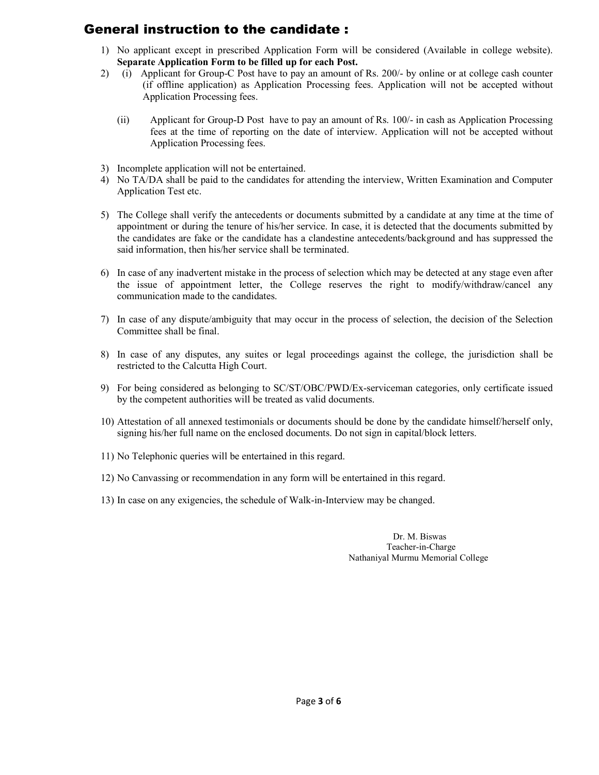## General instruction to the candidate :

- 1) No applicant except in prescribed Application Form will be considered (Available in college website). Separate Application Form to be filled up for each Post.
- 2) (i) Applicant for Group-C Post have to pay an amount of Rs. 200/- by online or at college cash counter (if offline application) as Application Processing fees. Application will not be accepted without Application Processing fees.
	- (ii) Applicant for Group-D Post have to pay an amount of Rs. 100/- in cash as Application Processing fees at the time of reporting on the date of interview. Application will not be accepted without Application Processing fees.
- 3) Incomplete application will not be entertained.
- 4) No TA/DA shall be paid to the candidates for attending the interview, Written Examination and Computer Application Test etc.
- 5) The College shall verify the antecedents or documents submitted by a candidate at any time at the time of appointment or during the tenure of his/her service. In case, it is detected that the documents submitted by the candidates are fake or the candidate has a clandestine antecedents/background and has suppressed the said information, then his/her service shall be terminated.
- 6) In case of any inadvertent mistake in the process of selection which may be detected at any stage even after the issue of appointment letter, the College reserves the right to modify/withdraw/cancel any communication made to the candidates.
- 7) In case of any dispute/ambiguity that may occur in the process of selection, the decision of the Selection Committee shall be final.
- 8) In case of any disputes, any suites or legal proceedings against the college, the jurisdiction shall be restricted to the Calcutta High Court.
- 9) For being considered as belonging to SC/ST/OBC/PWD/Ex-serviceman categories, only certificate issued by the competent authorities will be treated as valid documents.
- 10) Attestation of all annexed testimonials or documents should be done by the candidate himself/herself only, signing his/her full name on the enclosed documents. Do not sign in capital/block letters.
- 11) No Telephonic queries will be entertained in this regard.
- 12) No Canvassing or recommendation in any form will be entertained in this regard.
- 13) In case on any exigencies, the schedule of Walk-in-Interview may be changed.

 Dr. M. Biswas Teacher-in-Charge Nathaniyal Murmu Memorial College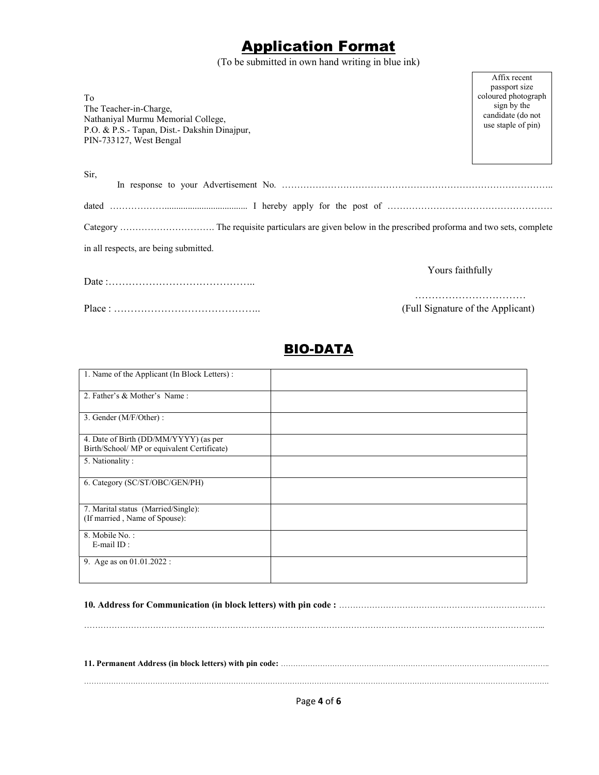# Application Format

(To be submitted in own hand writing in blue ink)

Affix recent

| To<br>The Teacher-in-Charge,<br>Nathaniyal Murmu Memorial College,<br>P.O. & P.S.- Tapan, Dist.- Dakshin Dinajpur,<br>PIN-733127, West Bengal | passport size<br>coloured photograph<br>sign by the<br>candidate (do not<br>use staple of pin) |
|-----------------------------------------------------------------------------------------------------------------------------------------------|------------------------------------------------------------------------------------------------|
| Sir,                                                                                                                                          |                                                                                                |
|                                                                                                                                               |                                                                                                |
|                                                                                                                                               |                                                                                                |
| in all respects, are being submitted.                                                                                                         |                                                                                                |
| Yours faithfully                                                                                                                              |                                                                                                |
| (Full Signature of the Applicant)                                                                                                             |                                                                                                |

## BIO-DATA

| 1. Name of the Applicant (In Block Letters): |  |
|----------------------------------------------|--|
|                                              |  |
|                                              |  |
| 2. Father's & Mother's Name:                 |  |
|                                              |  |
|                                              |  |
|                                              |  |
| 3. Gender (M/F/Other) :                      |  |
|                                              |  |
|                                              |  |
| 4. Date of Birth (DD/MM/YYYY) (as per        |  |
|                                              |  |
| Birth/School/ MP or equivalent Certificate)  |  |
|                                              |  |
| 5. Nationality:                              |  |
|                                              |  |
|                                              |  |
| 6. Category (SC/ST/OBC/GEN/PH)               |  |
|                                              |  |
|                                              |  |
|                                              |  |
|                                              |  |
| 7. Marital status (Married/Single):          |  |
| (If married, Name of Spouse):                |  |
|                                              |  |
|                                              |  |
| 8. Mobile No.:                               |  |
| E-mail ID:                                   |  |
|                                              |  |
|                                              |  |
| 9. Age as on 01.01.2022 :                    |  |
|                                              |  |
|                                              |  |
|                                              |  |

### 10. Address for Communication (in block letters) with pin code : …………………………………………………………………

…………………………………………………………………………………………………………………………………………………...

11. Permanent Address (in block letters) with pin code: ………………………………………………………………………………………………..

……………………………………………………………………………………………………………………………………………………………………….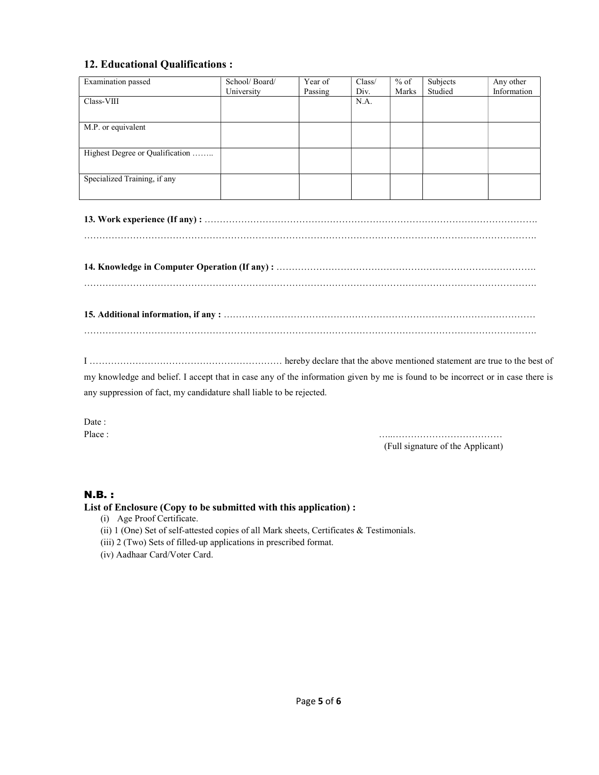## 12. Educational Qualifications :

| Examination passed              | School/Board/ | Year of | Class/ | $%$ of | Subjects | Any other   |
|---------------------------------|---------------|---------|--------|--------|----------|-------------|
|                                 | University    | Passing | Div.   | Marks  | Studied  | Information |
| Class-VIII                      |               |         | N.A.   |        |          |             |
|                                 |               |         |        |        |          |             |
| M.P. or equivalent              |               |         |        |        |          |             |
|                                 |               |         |        |        |          |             |
| Highest Degree or Qualification |               |         |        |        |          |             |
|                                 |               |         |        |        |          |             |
| Specialized Training, if any    |               |         |        |        |          |             |
|                                 |               |         |        |        |          |             |

I ……………………………………………………… hereby declare that the above mentioned statement are true to the best of

my knowledge and belief. I accept that in case any of the information given by me is found to be incorrect or in case there is any suppression of fact, my candidature shall liable to be rejected.

Date:

Place : …..……………………………… (Full signature of the Applicant)

## N.B. :

## List of Enclosure (Copy to be submitted with this application) :

- (i) Age Proof Certificate.
- (ii) 1 (One) Set of self-attested copies of all Mark sheets, Certificates & Testimonials.
- (iii) 2 (Two) Sets of filled-up applications in prescribed format.
- (iv) Aadhaar Card/Voter Card.